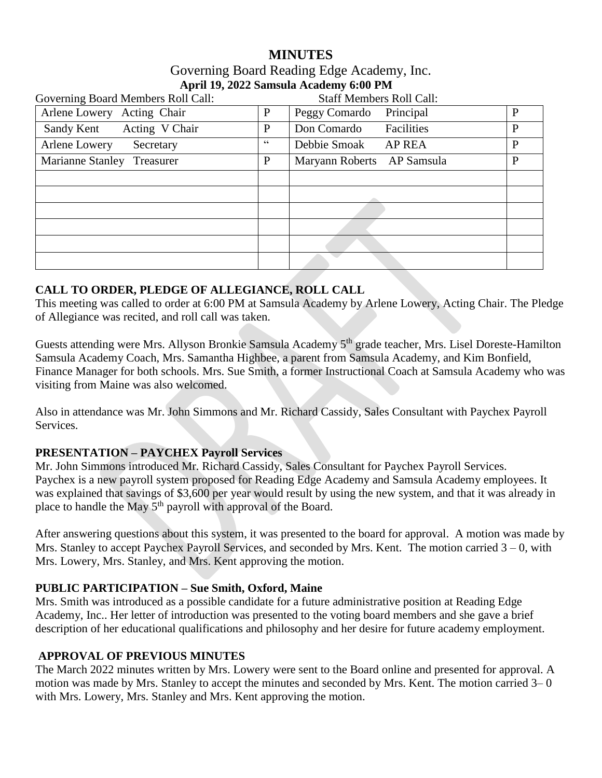# **MINUTES**

# Governing Board Reading Edge Academy, Inc. **April 19, 2022 Samsula Academy 6:00 PM**

| Governing Board Members Roll Call: |              | <b>Staff Members Roll Call:</b> |   |
|------------------------------------|--------------|---------------------------------|---|
| Arlene Lowery Acting Chair         | $\mathbf{P}$ | Peggy Comardo<br>Principal      | P |
| Acting V Chair<br>Sandy Kent       | $\mathbf P$  | Facilities<br>Don Comardo       | P |
| Arlene Lowery<br>Secretary         | 66           | Debbie Smoak<br><b>AP REA</b>   | P |
| Marianne Stanley<br>Treasurer      | P            | Maryann Roberts AP Samsula      | P |
|                                    |              |                                 |   |
|                                    |              |                                 |   |
|                                    |              |                                 |   |
|                                    |              |                                 |   |
|                                    |              |                                 |   |
|                                    |              |                                 |   |

# **CALL TO ORDER, PLEDGE OF ALLEGIANCE, ROLL CALL**

This meeting was called to order at 6:00 PM at Samsula Academy by Arlene Lowery, Acting Chair. The Pledge of Allegiance was recited, and roll call was taken.

Guests attending were Mrs. Allyson Bronkie Samsula Academy 5<sup>th</sup> grade teacher, Mrs. Lisel Doreste-Hamilton Samsula Academy Coach, Mrs. Samantha Highbee, a parent from Samsula Academy, and Kim Bonfield, Finance Manager for both schools. Mrs. Sue Smith, a former Instructional Coach at Samsula Academy who was visiting from Maine was also welcomed.

Also in attendance was Mr. John Simmons and Mr. Richard Cassidy, Sales Consultant with Paychex Payroll Services.

# **PRESENTATION – PAYCHEX Payroll Services**

Mr. John Simmons introduced Mr. Richard Cassidy, Sales Consultant for Paychex Payroll Services. Paychex is a new payroll system proposed for Reading Edge Academy and Samsula Academy employees. It was explained that savings of \$3,600 per year would result by using the new system, and that it was already in place to handle the May  $5<sup>th</sup>$  payroll with approval of the Board.

After answering questions about this system, it was presented to the board for approval. A motion was made by Mrs. Stanley to accept Paychex Payroll Services, and seconded by Mrs. Kent. The motion carried  $3 - 0$ , with Mrs. Lowery, Mrs. Stanley, and Mrs. Kent approving the motion.

# **PUBLIC PARTICIPATION – Sue Smith, Oxford, Maine**

Mrs. Smith was introduced as a possible candidate for a future administrative position at Reading Edge Academy, Inc.. Her letter of introduction was presented to the voting board members and she gave a brief description of her educational qualifications and philosophy and her desire for future academy employment.

# **APPROVAL OF PREVIOUS MINUTES**

The March 2022 minutes written by Mrs. Lowery were sent to the Board online and presented for approval. A motion was made by Mrs. Stanley to accept the minutes and seconded by Mrs. Kent. The motion carried 3– 0 with Mrs. Lowery, Mrs. Stanley and Mrs. Kent approving the motion.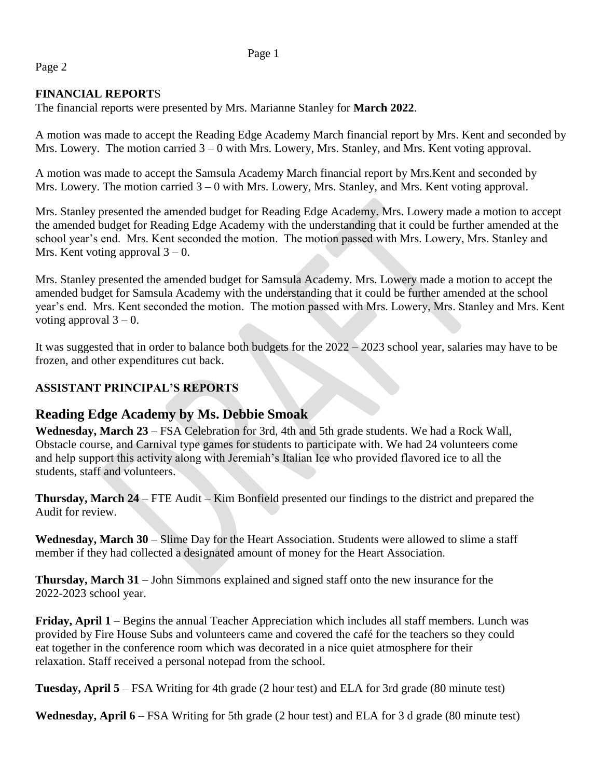#### Page 1

# Page 2

# **FINANCIAL REPORT**S

The financial reports were presented by Mrs. Marianne Stanley for **March 2022**.

A motion was made to accept the Reading Edge Academy March financial report by Mrs. Kent and seconded by Mrs. Lowery. The motion carried  $3 - 0$  with Mrs. Lowery, Mrs. Stanley, and Mrs. Kent voting approval.

A motion was made to accept the Samsula Academy March financial report by Mrs.Kent and seconded by Mrs. Lowery. The motion carried  $3 - 0$  with Mrs. Lowery, Mrs. Stanley, and Mrs. Kent voting approval.

Mrs. Stanley presented the amended budget for Reading Edge Academy. Mrs. Lowery made a motion to accept the amended budget for Reading Edge Academy with the understanding that it could be further amended at the school year's end. Mrs. Kent seconded the motion. The motion passed with Mrs. Lowery, Mrs. Stanley and Mrs. Kent voting approval  $3 - 0$ .

Mrs. Stanley presented the amended budget for Samsula Academy. Mrs. Lowery made a motion to accept the amended budget for Samsula Academy with the understanding that it could be further amended at the school year's end. Mrs. Kent seconded the motion. The motion passed with Mrs. Lowery, Mrs. Stanley and Mrs. Kent voting approval  $3 - 0$ .

It was suggested that in order to balance both budgets for the 2022 – 2023 school year, salaries may have to be frozen, and other expenditures cut back.

# **ASSISTANT PRINCIPAL'S REPORTS**

# **Reading Edge Academy by Ms. Debbie Smoak**

**Wednesday, March 23** – FSA Celebration for 3rd, 4th and 5th grade students. We had a Rock Wall, Obstacle course, and Carnival type games for students to participate with. We had 24 volunteers come and help support this activity along with Jeremiah's Italian Ice who provided flavored ice to all the students, staff and volunteers.

**Thursday, March 24** – FTE Audit – Kim Bonfield presented our findings to the district and prepared the Audit for review.

**Wednesday, March 30** – Slime Day for the Heart Association. Students were allowed to slime a staff member if they had collected a designated amount of money for the Heart Association.

**Thursday, March 31** – John Simmons explained and signed staff onto the new insurance for the 2022-2023 school year.

**Friday, April 1** – Begins the annual Teacher Appreciation which includes all staff members. Lunch was provided by Fire House Subs and volunteers came and covered the café for the teachers so they could eat together in the conference room which was decorated in a nice quiet atmosphere for their relaxation. Staff received a personal notepad from the school.

**Tuesday, April 5** – FSA Writing for 4th grade (2 hour test) and ELA for 3rd grade (80 minute test)

**Wednesday, April 6** – FSA Writing for 5th grade (2 hour test) and ELA for 3 d grade (80 minute test)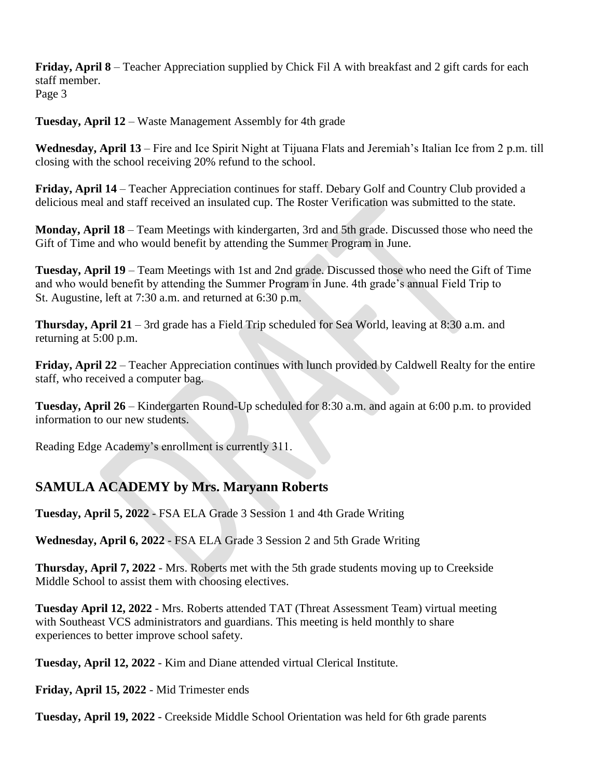**Friday, April 8** – Teacher Appreciation supplied by Chick Fil A with breakfast and 2 gift cards for each staff member. Page 3

**Tuesday, April 12** – Waste Management Assembly for 4th grade

**Wednesday, April 13** – Fire and Ice Spirit Night at Tijuana Flats and Jeremiah's Italian Ice from 2 p.m. till closing with the school receiving 20% refund to the school.

**Friday, April 14** – Teacher Appreciation continues for staff. Debary Golf and Country Club provided a delicious meal and staff received an insulated cup. The Roster Verification was submitted to the state.

**Monday, April 18** – Team Meetings with kindergarten, 3rd and 5th grade. Discussed those who need the Gift of Time and who would benefit by attending the Summer Program in June.

**Tuesday, April 19** – Team Meetings with 1st and 2nd grade. Discussed those who need the Gift of Time and who would benefit by attending the Summer Program in June. 4th grade's annual Field Trip to St. Augustine, left at 7:30 a.m. and returned at 6:30 p.m.

**Thursday, April 21** – 3rd grade has a Field Trip scheduled for Sea World, leaving at 8:30 a.m. and returning at 5:00 p.m.

**Friday, April 22** – Teacher Appreciation continues with lunch provided by Caldwell Realty for the entire staff, who received a computer bag.

**Tuesday, April 26** – Kindergarten Round-Up scheduled for 8:30 a.m. and again at 6:00 p.m. to provided information to our new students.

Reading Edge Academy's enrollment is currently 311.

# **SAMULA ACADEMY by Mrs. Maryann Roberts**

**Tuesday, April 5, 2022** - FSA ELA Grade 3 Session 1 and 4th Grade Writing

**Wednesday, April 6, 2022** - FSA ELA Grade 3 Session 2 and 5th Grade Writing

**Thursday, April 7, 2022** - Mrs. Roberts met with the 5th grade students moving up to Creekside Middle School to assist them with choosing electives.

**Tuesday April 12, 2022** - Mrs. Roberts attended TAT (Threat Assessment Team) virtual meeting with Southeast VCS administrators and guardians. This meeting is held monthly to share experiences to better improve school safety.

**Tuesday, April 12, 2022** - Kim and Diane attended virtual Clerical Institute.

**Friday, April 15, 2022** - Mid Trimester ends

**Tuesday, April 19, 2022** - Creekside Middle School Orientation was held for 6th grade parents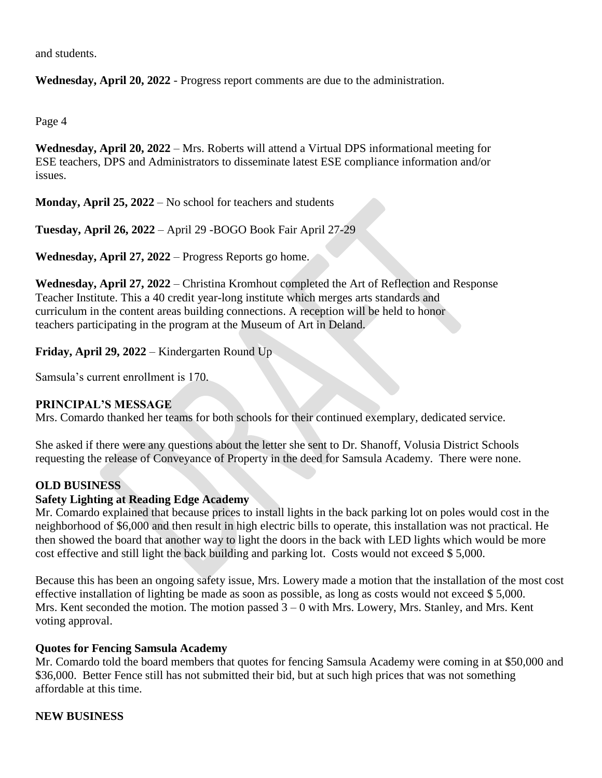and students.

**Wednesday, April 20, 2022** - Progress report comments are due to the administration.

Page 4

**Wednesday, April 20, 2022** – Mrs. Roberts will attend a Virtual DPS informational meeting for ESE teachers, DPS and Administrators to disseminate latest ESE compliance information and/or issues.

**Monday, April 25, 2022** – No school for teachers and students

**Tuesday, April 26, 2022** – April 29 -BOGO Book Fair April 27-29

**Wednesday, April 27, 2022** – Progress Reports go home.

**Wednesday, April 27, 2022** – Christina Kromhout completed the Art of Reflection and Response Teacher Institute. This a 40 credit year-long institute which merges arts standards and curriculum in the content areas building connections. A reception will be held to honor teachers participating in the program at the Museum of Art in Deland.

**Friday, April 29, 2022** – Kindergarten Round Up

Samsula's current enrollment is 170.

#### **PRINCIPAL'S MESSAGE**

Mrs. Comardo thanked her teams for both schools for their continued exemplary, dedicated service.

She asked if there were any questions about the letter she sent to Dr. Shanoff, Volusia District Schools requesting the release of Conveyance of Property in the deed for Samsula Academy. There were none.

# **OLD BUSINESS**

#### **Safety Lighting at Reading Edge Academy**

Mr. Comardo explained that because prices to install lights in the back parking lot on poles would cost in the neighborhood of \$6,000 and then result in high electric bills to operate, this installation was not practical. He then showed the board that another way to light the doors in the back with LED lights which would be more cost effective and still light the back building and parking lot. Costs would not exceed \$ 5,000.

Because this has been an ongoing safety issue, Mrs. Lowery made a motion that the installation of the most cost effective installation of lighting be made as soon as possible, as long as costs would not exceed \$ 5,000. Mrs. Kent seconded the motion. The motion passed  $3 - 0$  with Mrs. Lowery, Mrs. Stanley, and Mrs. Kent voting approval.

#### **Quotes for Fencing Samsula Academy**

Mr. Comardo told the board members that quotes for fencing Samsula Academy were coming in at \$50,000 and \$36,000. Better Fence still has not submitted their bid, but at such high prices that was not something affordable at this time.

# **NEW BUSINESS**